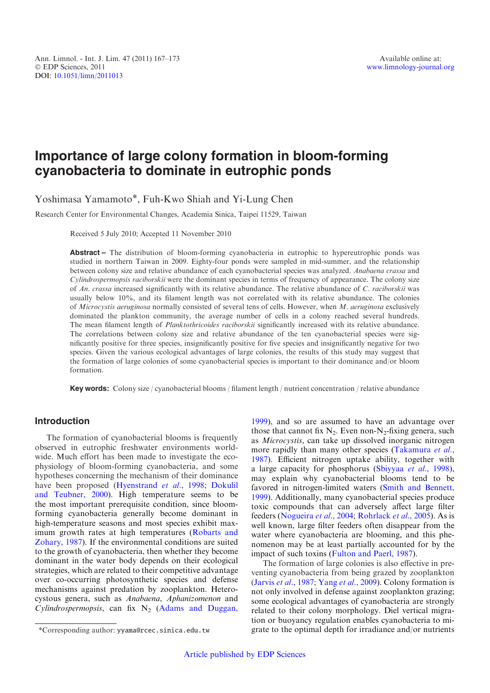# Importance of large colony formation in bloom-forming cyanobacteria to dominate in eutrophic ponds

Yoshimasa Yamamoto\*, Fuh-Kwo Shiah and Yi-Lung Chen

Research Center for Environmental Changes, Academia Sinica, Taipei 11529, Taiwan

Received 5 July 2010; Accepted 11 November 2010

Abstract – The distribution of bloom-forming cyanobacteria in eutrophic to hypereutrophic ponds was studied in northern Taiwan in 2009. Eighty-four ponds were sampled in mid-summer, and the relationship between colony size and relative abundance of each cyanobacterial species was analyzed. Anabaena crassa and Cylindrospermopsis raciborskii were the dominant species in terms of frequency of appearance. The colony size of An. crassa increased significantly with its relative abundance. The relative abundance of C. raciborskii was usually below 10%, and its filament length was not correlated with its relative abundance. The colonies of Microcystis aeruginosa normally consisted of several tens of cells. However, when M. aeruginosa exclusively dominated the plankton community, the average number of cells in a colony reached several hundreds. The mean filament length of *Planktothricoides raciborskii* significantly increased with its relative abundance. The correlations between colony size and relative abundance of the ten cyanobacterial species were significantly positive for three species, insignificantly positive for five species and insignificantly negative for two species. Given the various ecological advantages of large colonies, the results of this study may suggest that the formation of large colonies of some cyanobacterial species is important to their dominance and/or bloom formation.

Key words: Colony size / cyanobacterial blooms / filament length / nutrient concentration / relative abundance

# Introduction

The formation of cyanobacterial blooms is frequently observed in eutrophic freshwater environments worldwide. Much effort has been made to investigate the ecophysiology of bloom-forming cyanobacteria, and some hypotheses concerning the mechanism of their dominance have been proposed ([Hyenstrand](#page-5-0) et al., 1998; [Dokulil](#page-5-0) [and Teubner, 2000\)](#page-5-0). High temperature seems to be the most important prerequisite condition, since bloomforming cyanobacteria generally become dominant in high-temperature seasons and most species exhibit maximum growth rates at high temperatures ([Robarts and](#page-6-0) [Zohary, 1987](#page-6-0)). If the environmental conditions are suited to the growth of cyanobacteria, then whether they become dominant in the water body depends on their ecological strategies, which are related to their competitive advantage over co-occurring photosynthetic species and defense mechanisms against predation by zooplankton. Heterocystous genera, such as Anabaena, Aphanizomenon and Cylindrospermopsis, can fix  $N_2$  ([Adams and Duggan,](#page-5-0)

[1999](#page-5-0)), and so are assumed to have an advantage over those that cannot fix  $N_2$ . Even non- $N_2$ -fixing genera, such as Microcystis, can take up dissolved inorganic nitrogen more rapidly than many other species [\(Takamura](#page-6-0) et al., [1987](#page-6-0)). Efficient nitrogen uptake ability, together with a large capacity for phosphorus ([Sbiyyaa](#page-6-0) et al., 1998). may explain why cyanobacterial blooms tend to be favored in nitrogen-limited waters ([Smith and Bennett,](#page-6-0) [1999](#page-6-0)). Additionally, many cyanobacterial species produce toxic compounds that can adversely affect large filter feeders ([Nogueira](#page-5-0) et al., 2004; [Rohrlack](#page-6-0) et al., 2005). As is well known, large filter feeders often disappear from the water where cyanobacteria are blooming, and this phenomenon may be at least partially accounted for by the impact of such toxins ([Fulton and Paerl, 1987\)](#page-5-0).

The formation of large colonies is also effective in preventing cyanobacteria from being grazed by zooplankton (Jarvis et al[., 1987](#page-5-0); Yang et al[., 2009](#page-6-0)). Colony formation is not only involved in defense against zooplankton grazing; some ecological advantages of cyanobacteria are strongly related to their colony morphology. Diel vertical migration or buoyancy regulation enables cyanobacteria to mi- \*Corresponding author: yyama@rcec.sinica.edu.tw grate to the optimal depth for irradiance and/or nutrients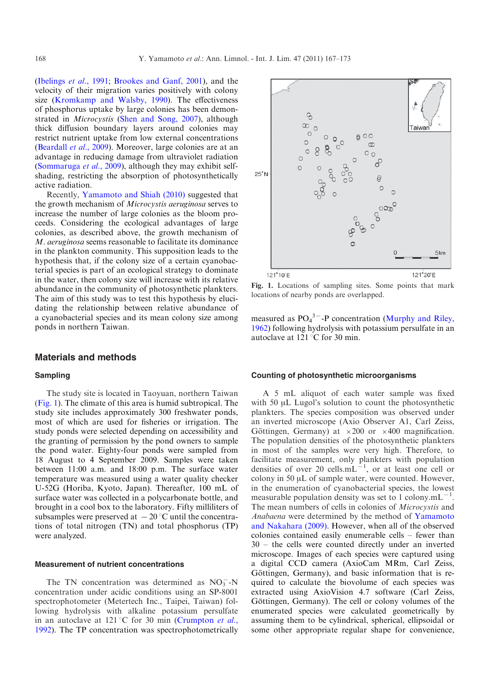([Ibelings](#page-5-0) et al., 1991; [Brookes and Ganf, 2001](#page-5-0)), and the velocity of their migration varies positively with colony size [\(Kromkamp and Walsby, 1990](#page-5-0)). The effectiveness of phosphorus uptake by large colonies has been demonstrated in Microcystis [\(Shen and Song, 2007\)](#page-6-0), although thick diffusion boundary layers around colonies may restrict nutrient uptake from low external concentrations ([Beardall](#page-5-0) et al., 2009). Moreover, large colonies are at an advantage in reducing damage from ultraviolet radiation ([Sommaruga](#page-6-0) et al., 2009), although they may exhibit selfshading, restricting the absorption of photosynthetically active radiation.

Recently, [Yamamoto and Shiah \(2010\)](#page-6-0) suggested that the growth mechanism of Microcystis aeruginosa serves to increase the number of large colonies as the bloom proceeds. Considering the ecological advantages of large colonies, as described above, the growth mechanism of M. aeruginosa seems reasonable to facilitate its dominance in the plankton community. This supposition leads to the hypothesis that, if the colony size of a certain cyanobacterial species is part of an ecological strategy to dominate in the water, then colony size will increase with its relative abundance in the community of photosynthetic plankters. The aim of this study was to test this hypothesis by elucidating the relationship between relative abundance of a cyanobacterial species and its mean colony size among ponds in northern Taiwan.

#### Materials and methods

#### Sampling

The study site is located in Taoyuan, northern Taiwan (Fig. 1). The climate of this area is humid subtropical. The study site includes approximately 300 freshwater ponds, most of which are used for fisheries or irrigation. The study ponds were selected depending on accessibility and the granting of permission by the pond owners to sample the pond water. Eighty-four ponds were sampled from 18 August to 4 September 2009. Samples were taken between 11:00 a.m. and 18:00 p.m. The surface water temperature was measured using a water quality checker U-52G (Horiba, Kyoto, Japan). Thereafter, 100 mL of surface water was collected in a polycarbonate bottle, and brought in a cool box to the laboratory. Fifty milliliters of subsamples were preserved at  $-20$  °C until the concentrations of total nitrogen (TN) and total phosphorus (TP) were analyzed.

#### Measurement of nutrient concentrations

The TN concentration was determined as  $NO_3^-$ -N concentration under acidic conditions using an SP-8001 spectrophotometer (Metertech Inc., Taipei, Taiwan) following hydrolysis with alkaline potassium persulfate in an autoclave at 121 °C for 30 min ([Crumpton](#page-5-0) *et al.*, [1992](#page-5-0)). The TP concentration was spectrophotometrically



Fig. 1. Locations of sampling sites. Some points that mark locations of nearby ponds are overlapped.

measured as  $PO_4^3$ <sup>-</sup>-P concentration [\(Murphy and Riley,](#page-5-0) [1962](#page-5-0)) following hydrolysis with potassium persulfate in an autoclave at  $121^{\circ}$ C for 30 min.

#### Counting of photosynthetic microorganisms

A 5 mL aliquot of each water sample was fixed with 50 µL Lugol's solution to count the photosynthetic plankters. The species composition was observed under an inverted microscope (Axio Observer A1, Carl Zeiss, Göttingen, Germany) at  $\times 200$  or  $\times 400$  magnification. The population densities of the photosynthetic plankters in most of the samples were very high. Therefore, to facilitate measurement, only plankters with population densities of over 20 cells. $mL^{-1}$ , or at least one cell or colony in  $50 \mu L$  of sample water, were counted. However, in the enumeration of cyanobacterial species, the lowest measurable population density was set to 1 colony.mL<sup> $-1$ </sup>. The mean numbers of cells in colonies of *Microcystis* and Anabaena were determined by the method of [Yamamoto](#page-6-0) [and Nakahara \(2009\).](#page-6-0) However, when all of the observed colonies contained easily enumerable cells – fewer than 30 – the cells were counted directly under an inverted microscope. Images of each species were captured using a digital CCD camera (AxioCam MRm, Carl Zeiss, Göttingen, Germany), and basic information that is required to calculate the biovolume of each species was extracted using AxioVision 4.7 software (Carl Zeiss, Göttingen, Germany). The cell or colony volumes of the enumerated species were calculated geometrically by assuming them to be cylindrical, spherical, ellipsoidal or some other appropriate regular shape for convenience,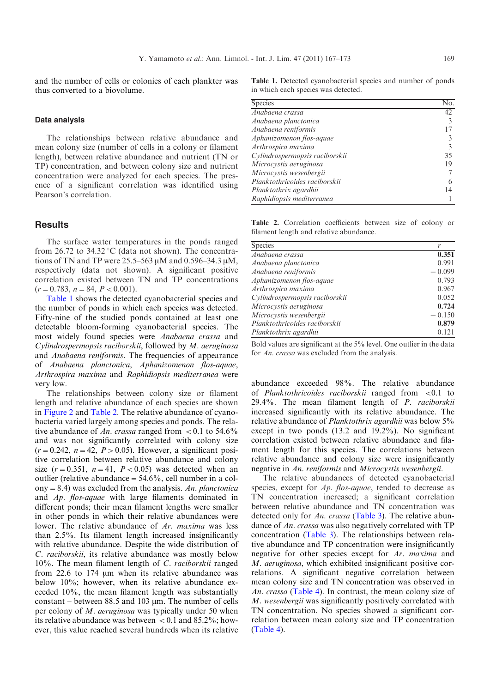and the number of cells or colonies of each plankter was thus converted to a biovolume.

#### Data analysis

The relationships between relative abundance and mean colony size (number of cells in a colony or filament length), between relative abundance and nutrient (TN or TP) concentration, and between colony size and nutrient concentration were analyzed for each species. The presence of a significant correlation was identified using Pearson's correlation.

### **Results**

The surface water temperatures in the ponds ranged from 26.72 to 34.32 °C (data not shown). The concentrations of TN and TP were  $25.5-563 \mu M$  and  $0.596-34.3 \mu M$ , respectively (data not shown). A significant positive correlation existed between TN and TP concentrations  $(r=0.783, n=84, P<0.001).$ 

Table 1 shows the detected cyanobacterial species and the number of ponds in which each species was detected. Fifty-nine of the studied ponds contained at least one detectable bloom-forming cyanobacterial species. The most widely found species were Anabaena crassa and Cylindrospermopsis raciborskii, followed by M. aeruginosa and Anabaena reniformis. The frequencies of appearance of Anabaena planctonica, Aphanizomenon flos-aquae, Arthrospira maxima and Raphidiopsis mediterranea were very low.

The relationships between colony size or filament length and relative abundance of each species are shown in [Figure 2](#page-3-0) and Table 2. The relative abundance of cyanobacteria varied largely among species and ponds. The relative abundance of An. crassa ranged from  $< 0.1$  to 54.6% and was not significantly correlated with colony size  $(r=0.242, n=42, P>0.05)$ . However, a significant positive correlation between relative abundance and colony size  $(r=0.351, n=41, P<0.05)$  was detected when an outlier (relative abundance  $=$  54.6%, cell number in a colony = 8.4) was excluded from the analysis. An. planctonica and Ap. flos-aquae with large filaments dominated in different ponds; their mean filament lengths were smaller in other ponds in which their relative abundances were lower. The relative abundance of Ar. maxima was less than 2.5%. Its filament length increased insignificantly with relative abundance. Despite the wide distribution of C. raciborskii, its relative abundance was mostly below 10%. The mean filament length of C. raciborskii ranged from 22.6 to  $174 \mu m$  when its relative abundance was below 10%; however, when its relative abundance exceeded 10%, the mean filament length was substantially constant – between 88.5 and 103  $\mu$ m. The number of cells per colony of M. aeruginosa was typically under 50 when its relative abundance was between  $< 0.1$  and 85.2%; however, this value reached several hundreds when its relative

Table 1. Detected cyanobacterial species and number of ponds in which each species was detected.

| <b>Species</b>                 | No |
|--------------------------------|----|
| Anabaena crassa                | 42 |
| Anabaena planctonica           |    |
| Anabaena reniformis            |    |
| Aphanizomenon flos-aquae       |    |
| Arthrospira maxima             |    |
| Cylindrospermopsis raciborskii | 35 |
| Microcystis aeruginosa         | 19 |
| Microcystis wesenbergii        |    |
| Planktothricoides raciborskii  |    |
| Planktothrix agardhii          | 14 |
| Raphidiopsis mediterranea      |    |

Table 2. Correlation coefficients between size of colony or filament length and relative abundance.

| <b>Species</b>                 |          |
|--------------------------------|----------|
| $\overline{A}$ nabaena crassa  | 0.351    |
| Anabaena planctonica           | 0.991    |
| Anabaena reniformis            | $-0.099$ |
| Aphanizomenon flos-aquae       | 0.793    |
| Arthrospira maxima             | 0.967    |
| Cylindrospermopsis raciborskii | 0.052    |
| Microcystis aeruginosa         | 0.724    |
| Microcystis wesenbergii        | $-0.150$ |
| Planktothricoides raciborskii  | 0.879    |
| Planktothrix agardhii          | 0.121    |

Bold values are significant at the 5% level. One outlier in the data for An. crassa was excluded from the analysis.

abundance exceeded 98%. The relative abundance of Planktothricoides raciborskii ranged from <0.1 to 29.4%. The mean filament length of P. raciborskii increased significantly with its relative abundance. The relative abundance of *Planktothrix agardhii* was below 5% except in two ponds (13.2 and 19.2%). No significant correlation existed between relative abundance and filament length for this species. The correlations between relative abundance and colony size were insignificantly negative in An. reniformis and Microcystis wesenbergii.

The relative abundances of detected cyanobacterial species, except for Ap. flos-aquae, tended to decrease as TN concentration increased; a significant correlation between relative abundance and TN concentration was detected only for An. crassa [\(Table 3\)](#page-4-0). The relative abundance of An. crassa was also negatively correlated with TP concentration [\(Table 3\)](#page-4-0). The relationships between relative abundance and TP concentration were insignificantly negative for other species except for Ar. maxima and M. aeruginosa, which exhibited insignificant positive correlations. A significant negative correlation between mean colony size and TN concentration was observed in An. crassa ([Table 4\)](#page-4-0). In contrast, the mean colony size of M. wesenbergii was significantly positively correlated with TN concentration. No species showed a significant correlation between mean colony size and TP concentration ([Table 4\)](#page-4-0).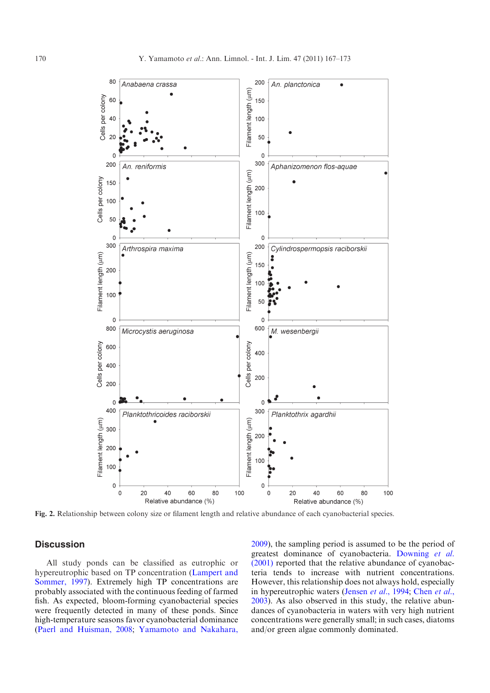<span id="page-3-0"></span>

Fig. 2. Relationship between colony size or filament length and relative abundance of each cyanobacterial species.

## **Discussion**

All study ponds can be classified as eutrophic or hypereutrophic based on TP concentration [\(Lampert and](#page-5-0) [Sommer, 1997\)](#page-5-0). Extremely high TP concentrations are probably associated with the continuous feeding of farmed fish. As expected, bloom-forming cyanobacterial species were frequently detected in many of these ponds. Since high-temperature seasons favor cyanobacterial dominance ([Paerl and Huisman, 2008](#page-6-0); [Yamamoto and Nakahara,](#page-6-0) [2009](#page-6-0)), the sampling period is assumed to be the period of greatest dominance of cyanobacteria. [Downing](#page-5-0) et al. [\(2001\)](#page-5-0) reported that the relative abundance of cyanobacteria tends to increase with nutrient concentrations. However, this relationship does not always hold, especially in hypereutrophic waters [\(Jensen](#page-5-0) et al., 1994; [Chen](#page-5-0) et al., [2003](#page-5-0)). As also observed in this study, the relative abundances of cyanobacteria in waters with very high nutrient concentrations were generally small; in such cases, diatoms and/or green algae commonly dominated.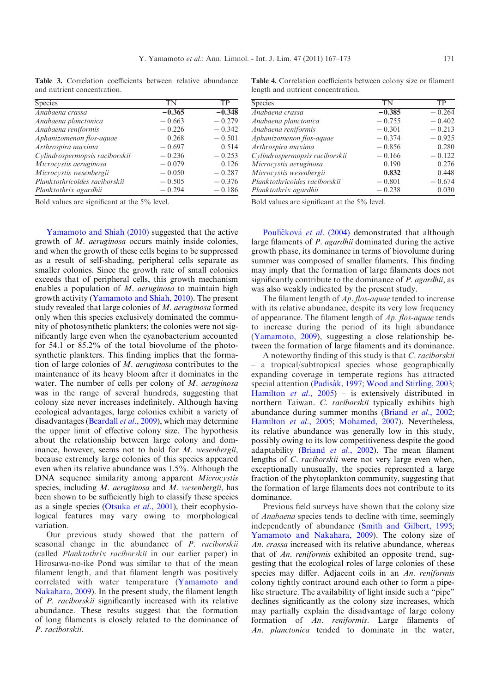<span id="page-4-0"></span>Table 3. Correlation coefficients between relative abundance and nutrient concentration.

| <b>Species</b>                 | TN       | TP       |
|--------------------------------|----------|----------|
| Anabaena crassa                | $-0.365$ | $-0.348$ |
| Anabaena planctonica           | $-0.663$ | $-0.279$ |
| Anabaena reniformis            | $-0.226$ | $-0.342$ |
| Aphanizomenon flos-aquae       | 0.268    | $-0.501$ |
| Arthrospira maxima             | $-0.697$ | 0.514    |
| Cylindrospermopsis raciborskii | $-0.236$ | $-0.253$ |
| Microcystis aeruginosa         | $-0.079$ | 0.126    |
| Microcystis wesenbergii        | $-0.050$ | $-0.287$ |
| Planktothricoides raciborskii  | $-0.505$ | $-0.376$ |
| Planktothrix agardhii          | $-0.294$ | $-0.186$ |

Table 4. Correlation coefficients between colony size or filament length and nutrient concentration.

| <b>Species</b>                 | TN       | TP       |
|--------------------------------|----------|----------|
| Anabaena crassa                | $-0.385$ | $-0.264$ |
| Anabaena planctonica           | $-0.755$ | $-0.402$ |
| Anabaena reniformis            | $-0.301$ | $-0.213$ |
| Aphanizomenon flos-aquae       | $-0.374$ | $-0.925$ |
| Arthrospira maxima             | $-0.856$ | 0.280    |
| Cylindrospermopsis raciborskii | $-0.166$ | $-0.122$ |
| Microcystis aeruginosa         | 0.190    | 0.276    |
| Microcystis wesenbergii        | 0.832    | 0.448    |
| Planktothricoides raciborskii  | $-0.801$ | $-0.674$ |
| Planktothrix agardhii          | $-0.238$ | 0.030    |

Bold values are significant at the 5% level.

[Yamamoto and Shiah \(2010\)](#page-6-0) suggested that the active growth of M. aeruginosa occurs mainly inside colonies, and when the growth of these cells begins to be suppressed as a result of self-shading, peripheral cells separate as smaller colonies. Since the growth rate of small colonies exceeds that of peripheral cells, this growth mechanism enables a population of M. *aeruginosa* to maintain high growth activity [\(Yamamoto and Shiah, 2010](#page-6-0)). The present study revealed that large colonies of M. aeruginosa formed only when this species exclusively dominated the community of photosynthetic plankters; the colonies were not significantly large even when the cyanobacterium accounted for 54.1 or 85.2% of the total biovolume of the photosynthetic plankters. This finding implies that the formation of large colonies of M. aeruginosa contributes to the maintenance of its heavy bloom after it dominates in the water. The number of cells per colony of M. aeruginosa was in the range of several hundreds, suggesting that colony size never increases indefinitely. Although having ecological advantages, large colonies exhibit a variety of disadvantages [\(Beardall](#page-5-0) et al., 2009), which may determine the upper limit of effective colony size. The hypothesis about the relationship between large colony and dominance, however, seems not to hold for M. wesenbergii, because extremely large colonies of this species appeared even when its relative abundance was 1.5%. Although the DNA sequence similarity among apparent Microcystis species, including M. aeruginosa and M. wesenbergii, has been shown to be sufficiently high to classify these species as a single species [\(Otsuka](#page-6-0) et al., 2001), their ecophysiological features may vary owing to morphological variation.

Our previous study showed that the pattern of seasonal change in the abundance of P. raciborskii (called Planktothrix raciborskii in our earlier paper) in Hirosawa-no-ike Pond was similar to that of the mean filament length, and that filament length was positively correlated with water temperature ([Yamamoto and](#page-6-0) [Nakahara, 2009\)](#page-6-0). In the present study, the filament length of P. raciborskii significantly increased with its relative abundance. These results suggest that the formation of long filaments is closely related to the dominance of P. raciborskii.

Bold values are significant at the 5% level.

Pouličková et al. (2004) demonstrated that although large filaments of *P. agardhii* dominated during the active growth phase, its dominance in terms of biovolume during summer was composed of smaller filaments. This finding may imply that the formation of large filaments does not significantly contribute to the dominance of *P. agardhii*, as was also weakly indicated by the present study.

The filament length of Ap. flos-aquae tended to increase with its relative abundance, despite its very low frequency of appearance. The filament length of Ap. flos-aquae tends to increase during the period of its high abundance ([Yamamoto, 2009](#page-6-0)), suggesting a close relationship between the formation of large filaments and its dominance.

A noteworthy finding of this study is that C. raciborskii – a tropical/subtropical species whose geographically expanding coverage in temperate regions has attracted special attention (Padisák, 1997; [Wood and Stirling, 2003;](#page-6-0) [Hamilton](#page-5-0) et al.,  $2005$ ) – is extensively distributed in northern Taiwan. C. raciborskii typically exhibits high abundance during summer months (Briand et al[., 2002;](#page-5-0) [Hamilton](#page-5-0) et al., 2005; [Mohamed, 2007\)](#page-5-0). Nevertheless, its relative abundance was generally low in this study, possibly owing to its low competitiveness despite the good adaptability (Briand et al[., 2002](#page-5-0)). The mean filament lengths of C. *raciborskii* were not very large even when, exceptionally unusually, the species represented a large fraction of the phytoplankton community, suggesting that the formation of large filaments does not contribute to its dominance.

Previous field surveys have shown that the colony size of Anabaena species tends to decline with time, seemingly independently of abundance ([Smith and Gilbert, 1995;](#page-6-0) [Yamamoto and Nakahara, 2009\)](#page-6-0). The colony size of An. crassa increased with its relative abundance, whereas that of An. reniformis exhibited an opposite trend, suggesting that the ecological roles of large colonies of these species may differ. Adjacent coils in an An. reniformis colony tightly contract around each other to form a pipelike structure. The availability of light inside such a "pipe" declines significantly as the colony size increases, which may partially explain the disadvantage of large colony formation of An. reniformis. Large filaments of An. planctonica tended to dominate in the water,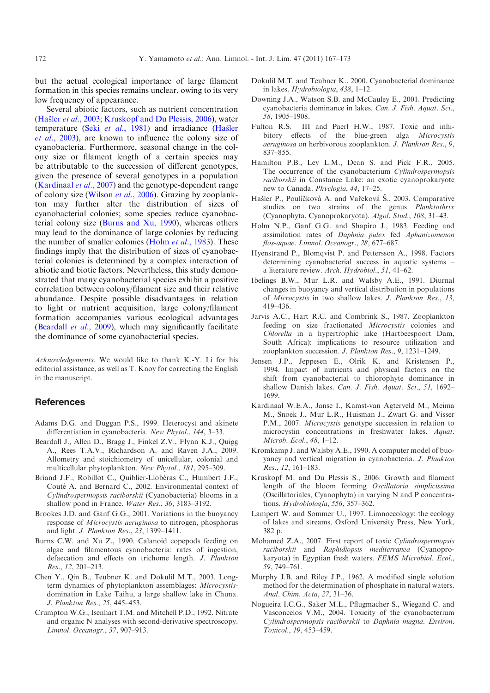<span id="page-5-0"></span>but the actual ecological importance of large filament formation in this species remains unclear, owing to its very low frequency of appearance.

Several abiotic factors, such as nutrient concentration (Hašler et al., 2003; Kruskopf and Du Plessis, 2006), water temperature (Seki et al[., 1981](#page-6-0)) and irradiance (Hašler et al., 2003), are known to influence the colony size of cyanobacteria. Furthermore, seasonal change in the colony size or filament length of a certain species may be attributable to the succession of different genotypes, given the presence of several genotypes in a population (Kardinaal et al., 2007) and the genotype-dependent range of colony size ([Wilson](#page-6-0) et al., 2006). Grazing by zooplankton may further alter the distribution of sizes of cyanobacterial colonies; some species reduce cyanobacterial colony size (Burns and Xu, 1990), whereas others may lead to the dominance of large colonies by reducing the number of smaller colonies (Holm *et al.*, 1983). These findings imply that the distribution of sizes of cyanobacterial colonies is determined by a complex interaction of abiotic and biotic factors. Nevertheless, this study demonstrated that many cyanobacterial species exhibit a positive correlation between colony/filament size and their relative abundance. Despite possible disadvantages in relation to light or nutrient acquisition, large colony/filament formation accompanies various ecological advantages (Beardall et al., 2009), which may significantly facilitate the dominance of some cyanobacterial species.

Acknowledgements. We would like to thank K.-Y. Li for his editorial assistance, as well as T. Knoy for correcting the English in the manuscript.

# **References**

- Adams D.G. and Duggan P.S., 1999. Heterocyst and akinete differentiation in cyanobacteria. New Phytol., 144, 3–33.
- Beardall J., Allen D., Bragg J., Finkel Z.V., Flynn K.J., Quigg A., Rees T.A.V., Richardson A. and Raven J.A., 2009. Allometry and stoichiometry of unicellular, colonial and multicellular phytoplankton. New Phytol., 181, 295–309.
- Briand J.F., Robillot C., Quiblier-Llobéras C., Humbert J.F., Couté A. and Bernard C., 2002. Environmental context of Cylindrospermopsis raciborskii (Cyanobacteria) blooms in a shallow pond in France. Water Res., 36, 3183–3192.
- Brookes J.D. and Ganf G.G., 2001. Variations in the buoyancy response of Microcystis aeruginosa to nitrogen, phosphorus and light. J. Plankton Res., 23, 1399–1411.
- Burns C.W. and Xu Z., 1990. Calanoid copepods feeding on algae and filamentous cyanobacteria: rates of ingestion, defaecation and effects on trichome length. J. Plankton Res., 12, 201–213.
- Chen Y., Qin B., Teubner K. and Dokulil M.T., 2003. Longterm dynamics of phytoplankton assemblages: Microcystisdomination in Lake Taihu, a large shallow lake in Chuna. J. Plankton Res., 25, 445–453.
- Crumpton W.G., Isenhart T.M. and Mitchell P.D., 1992. Nitrate and organic N analyses with second-derivative spectroscopy. Limnol. Oceanogr., 37, 907–913.
- Dokulil M.T. and Teubner K., 2000. Cyanobacterial dominance in lakes. Hydrobiologia, 438, 1–12.
- Downing J.A., Watson S.B. and McCauley E., 2001. Predicting cyanobacteria dominance in lakes. Can. J. Fish. Aquat. Sci., 58, 1905–1908.
- Fulton R.S. III and Paerl H.W., 1987. Toxic and inhibitory effects of the blue-green alga Microcystis aeruginosa on herbivorous zooplankton. J. Plankton Res., 9, 837–855.
- Hamilton P.B., Ley L.M., Dean S. and Pick F.R., 2005. The occurrence of the cyanobacterium Cylindrospermopsis raciborskii in Constance Lake: an exotic cyanoprokaryote new to Canada. Phyclogia, 44, 17–25.
- Hašler P., Poulíčková A. and Vařeková Š., 2003. Comparative studies on two strains of the genus Planktothrix (Cyanophyta, Cyanoprokaryota). Algol. Stud., 108, 31–43.
- Holm N.P., Ganf G.G. and Shapiro J., 1983. Feeding and assimilation rates of Daphnia pulex fed Aphanizomenon flos-aquae. Limnol. Oceanogr., 28, 677–687.
- Hyenstrand P., Blomqvist P. and Pettersson A., 1998. Factors determining cyanobacterial success in aquatic systems – a literature review. Arch. Hydrobiol., 51, 41–62.
- Ibelings B.W., Mur L.R. and Walsby A.E., 1991. Diurnal changes in buoyancy and vertical distribution in populations of Microcystis in two shallow lakes. J. Plankton Res., 13, 419–436.
- Jarvis A.C., Hart R.C. and Combrink S., 1987. Zooplankton feeding on size fractionated Microcystis colonies and Chlorella in a hypertrophic lake (Hartbeespoort Dam, South Africa): implications to resource utilization and zooplankton succession. J. Plankton Res., 9, 1231–1249.
- Jensen J.P., Jeppesen E., Olrik K. and Kristensen P., 1994. Impact of nutrients and physical factors on the shift from cyanobacterial to chlorophyte dominance in shallow Danish lakes. Can. J. Fish. Aquat. Sci., 51, 1692– 1699.
- Kardinaal W.E.A., Janse I., Kamst-van Agterveld M., Meima M., Snoek J., Mur L.R., Huisman J., Zwart G. and Visser P.M., 2007. Microcystis genotype succession in relation to microcystin concentrations in freshwater lakes. Aquat. Microb. Ecol., 48, 1–12.
- Kromkamp J. and Walsby A.E., 1990. A computer model of buoyancy and vertical migration in cyanobacteria. J. Plankton Res., 12, 161–183.
- Kruskopf M. and Du Plessis S., 2006. Growth and filament length of the bloom forming Oscillatoria simplicissima (Oscillatoriales, Cyanophyta) in varying N and P concentrations. Hydrobiologia, 556, 357–362.
- Lampert W. and Sommer U., 1997. Limnoecology: the ecology of lakes and streams, Oxford University Press, New York, 382 p.
- Mohamed Z.A., 2007. First report of toxic Cylindrospermopsis raciborskii and Raphidiopsis mediterranea (Cyanoprokaryota) in Egyptian fresh waters. FEMS Microbiol. Ecol., 59, 749–761.
- Murphy J.B. and Riley J.P., 1962. A modified single solution method for the determination of phosphate in natural waters. Anal. Chim. Acta, 27, 31–36.
- Nogueira I.C.G., Saker M.L., Pflugmacher S., Wiegand C. and Vasconcelos V.M., 2004. Toxicity of the cyanobacterium Cylindrospermopsis raciborskii to Daphnia magna. Environ. Toxicol., 19, 453–459.